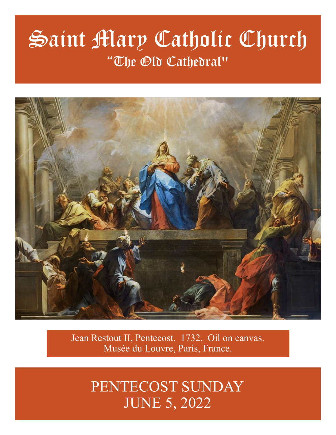# Saint Mary Catholic Church "The Old Cathedral"



Jean Restout II, Pentecost. 1732. Oil on canvas. Musée du Louvre, Paris, France.

> PENTECOST SUNDAY JUNE 5, 2022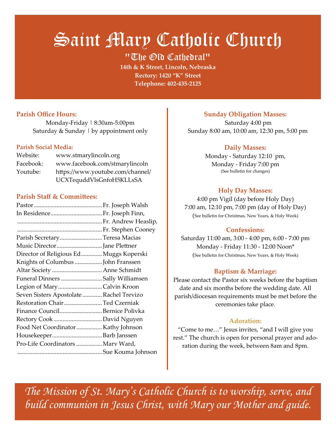# Saint Mary Catholic Church

"The Old Cathedral"

**14th & K Street, Lincoln, Nebraska Rectory: 1420 "K" Street Telephone: 402-435-2125**

## **Parish Office Hours:**

Monday-Friday | 8:30am-5:00pm Saturday  $&$  Sunday  $\vert$  by appointment only

#### **Parish Social Media:**

| Website:  | www.stmarylincoln.org            |
|-----------|----------------------------------|
| Facebook: | www.facebook.com/stmarylincoln   |
| Youtube:  | https://www.youtube.com/channel/ |
|           | UCXTequddVlsGnfoH5KLLsSA         |

#### **Parish Staff & Committees:**

| In Residence Fr. Joseph Finn,           |  |
|-----------------------------------------|--|
|                                         |  |
|                                         |  |
| Parish SecretaryTeresa Macias           |  |
| Music DirectorJane Plettner             |  |
| Director of Religious Ed Muggs Koperski |  |
| Knights of Columbus John Franssen       |  |
| Altar Society  Anne Schmidt             |  |
| Funeral Dinners Sally Williamsen        |  |
| Legion of MaryCalvin Kroon              |  |
| Seven Sisters Apostolate Rachel Trevizo |  |
| Restoration ChairTed Czerniak           |  |
| Finance CouncilBernice Polivka          |  |
|                                         |  |
| Food Net CoordinatorKathy Johnson       |  |
|                                         |  |
| Pro-Life Coordinators  Marv Ward,       |  |
|                                         |  |

#### **Sunday Obligation Masses:**

 Saturday 4:00 pm Sunday 8:00 am, 10:00 am, 12:30 pm, 5:00 pm

#### **Daily Masses:**

Monday - Saturday 12:10 pm, Monday - Friday 7:00 pm (See bulletin for changes)

#### **Holy Day Masses:**

4:00 pm Vigil (day before Holy Day) 7:00 am, 12:10 pm, 7:00 pm (day of Holy Day) (See bulletin for Christmas, New Years, & Holy Week)

#### **Confessions:**

Saturday 11:00 am, 3:00 - 4:00 pm, 6:00 - 7:00 pm Monday - Friday 11:30 - 12:00 Noon\* (See bulletin for Christmas, New Years, & Holy Week)

### **Baptism & Marriage:**

Please contact the Pastor six weeks before the baptism date and six months before the wedding date. All parish/diocesan requirements must be met before the ceremonies take place.

#### **Adoration:**

"Come to me…" Jesus invites, "and I will give you rest." The church is open for personal prayer and adoration during the week, between 8am and 8pm.

*The Mission of St. Mary's Catholic Church is to worship, serve, and build communion in Jesus Christ, with Mary our Mother and guide.*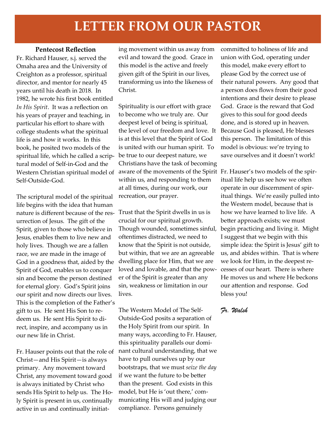# **LETTER FROM OUR PASTOR**

#### **Pentecost Reflection**

Fr. Richard Hauser, s.j. served the Omaha area and the University of Creighton as a professor, spiritual director, and mentor for nearly 45 years until his death in 2018. In 1982, he wrote his first book entitled *In His Spirit*. It was a reflection on his years of prayer and teaching, in particular his effort to share with college students what the spiritual life is and how it works. In this book, he posited two models of the spiritual life, which he called a scriptural model of Self-in-God and the Self-Outside-God.

The scriptural model of the spiritual life begins with the idea that human nature is different because of the res-Trust that the Spirit dwells in us is urrection of Jesus. The gift of the Spirit, given to those who believe in Jesus, enables them to live new and holy lives. Though we are a fallen race, we are made in the image of God in a goodness that, aided by the Spirit of God, enables us to conquer sin and become the person destined for eternal glory. God's Spirit joins our spirit and now directs our lives. This is the completion of the Father's gift to us. He sent His Son to redeem us. He sent His Spirit to direct, inspire, and accompany us in our new life in Christ.

Christ—and His Spirit—is always primary. Any movement toward Christ, any movement toward good is always initiated by Christ who sends His Spirit to help us. The Holy Spirit is present in us, continually active in us and continually initiating movement within us away from evil and toward the good. Grace in this model is the active and freely given gift of the Spirit in our lives, transforming us into the likeness of Christ.

Western Christian spiritual model of aware of the movements of the Spirit Fr. Hauser's two models of the spir-Spirituality is our effort with grace to become who we truly are. Our deepest level of being is spiritual, the level of our freedom and love. It Because God is pleased, He blesses is at this level that the Spirit of God is united with our human spirit. To be true to our deepest nature, we Christians have the task of becoming within us, and responding to them at all times, during our work, our recreation, our prayer.

> crucial for our spiritual growth. Though wounded, sometimes sinful, oftentimes distracted, we need to know that the Spirit is not outside, but within, that we are an agreeable dwelling place for Him, that we are loved and lovable, and that the power of the Spirit is greater than any sin, weakness or limitation in our lives.

Fr. Hauser points out that the role of nant cultural understanding, that we The Western Model of The Self-Outside-God posits a separation of the Holy Spirit from our spirit. In many ways, according to Fr. Hauser, this spirituality parallels our domihave to pull ourselves up by our bootstraps, that we must *seize the day* if we want the future to be better than the present. God exists in this model, but He is 'out there,' communicating His will and judging our compliance. Persons genuinely

committed to holiness of life and union with God, operating under this model, make every effort to please God by the correct use of their natural powers. Any good that a person does flows from their good intentions and their desire to please God. Grace is the reward that God gives to this soul for good deeds done, and is stored up in heaven. this person. The limitation of this model is obvious: we're trying to save ourselves and it doesn't work!

itual life help us see how we often operate in our discernment of spiritual things. We're easily pulled into the Western model, because that is how we have learned to live life. A better approach exists; we must begin practicing and living it. Might I suggest that we begin with this simple idea: the Spirit is Jesus' gift to us, and abides within. That is where we look for Him, in the deepest recesses of our heart. There is where He moves us and where He beckons our attention and response. God bless you!

#### *Fr. Walsh*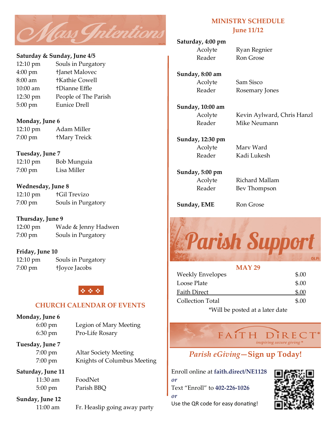

#### **Saturday & Sunday, June 4/5**

12:10 pm Souls in Purgatory 4:00 pm †Janet Malovec 8:00 am †Kathie Cowell 10:00 am †Dianne Effle 12:30 pm People of The Parish 5:00 pm Eunice Drell

#### **Monday, June 6**

| $12:10 \text{ pm}$ | Adam Miller         |
|--------------------|---------------------|
| $7:00$ pm          | <b>+Mary Treick</b> |

#### **Tuesday, June 7**

12:10 pm Bob Munguia 7:00 pm Lisa Miller

#### **Wednesday, June 8**

| $12:10 \text{ pm}$ | <b>tGil Trevizo</b> |
|--------------------|---------------------|
| $7:00 \text{ pm}$  | Souls in Purgatory  |

#### **Thursday, June 9**

12:00 pm Wade & Jenny Hadwen 7:00 pm Souls in Purgatory

#### **Friday, June 10**

12:10 pm Souls in Purgatory 7:00 pm †Joyce Jacobs

# ❖ ❖ ❖

#### **CHURCH CALENDAR OF EVENTS**

#### **Monday, June 6**

6:00 pm Legion of Mary Meeting 6:30 pm Pro-Life Rosary

#### **Tuesday, June 7**

7:00 pm Altar Society Meeting 7:00 pm Knights of Columbus Meeting

# **Saturday, June 11**

11:30 am FoodNet 5:00 pm Parish BBQ

**Sunday, June 12**

11:00 am Fr. Heaslip going away party

### **MINISTRY SCHEDULE June 11/12**

#### **Saturday, 4:00 pm**

Acolyte Ryan Regnier Reader Ron Grose

**Sunday, 8:00 am**

Acolyte Sam Sisco Reader Rosemary Jones

**Sunday, 10:00 am**

Acolyte Kevin Aylward, Chris Hanzl Reader Mike Neumann

**Sunday, 12:30 pm** Acolyte Marv Ward Reader Kadi Lukesh

**Sunday, 5:00 pm**

Acolyte Richard Mallam Reader Bev Thompson

**Sunday, EME** Ron Grose



# **MAY 29** Weekly Envelopes \$.00 Loose Plate  $\qquad \qquad$  \$.00 Faith Direct \$.00 Collection Total \$.00

\*Will be posted at a later date

FAITH DIREC inspiring secure giving

# *Parish eGiving***—Sign up Today!**

Enroll online at **faith.direct/NE1128** *or* Text "Enroll" to **402-226-1026** *or* Use the QR code for easy donating!

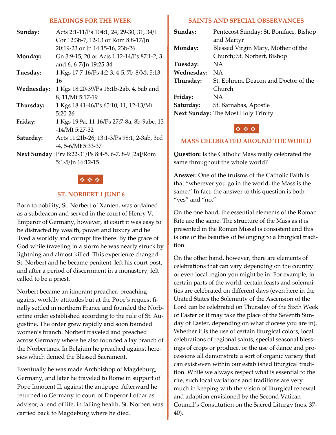#### **READINGS FOR THE WEEK**

| Sunday:     | Acts 2:1-11/Ps 104:1, 24, 29-30, 31, 34/1<br>Cor 12:3b-7, 12-13 or Rom 8:8-17/Jn<br>20:19-23 or Jn 14:15-16, 23b-26 |
|-------------|---------------------------------------------------------------------------------------------------------------------|
| Monday:     | Gn 3:9-15, 20 or Acts 1:12-14/Ps 87:1-2, 3<br>and 6, 6-7/Jn 19:25-34                                                |
| Tuesday:    | 1 Kgs 17:7-16/Ps 4:2-3, 4-5, 7b-8/Mt 5:13-<br>16                                                                    |
| Wednesday:  | 1 Kgs 18:20-39/Ps 16:1b-2ab, 4, 5ab and<br>8, 11/Mt 5:17-19                                                         |
| Thursday:   | 1 Kgs 18:41-46/Ps 65:10, 11, 12-13/Mt<br>$5:20-26$                                                                  |
| Friday:     | 1 Kgs 19:9a, 11-16/Ps 27:7-8a, 8b-9abc, 13<br>$-14/Mt$ 5:27-32                                                      |
| Saturday:   | Acts 11:21b-26; 13:1-3/Ps 98:1, 2-3ab, 3cd<br>-4, 5-6/Mt 5:33-37                                                    |
| Next Sunday | Prv 8:22-31/Ps 8:4-5, 6-7, 8-9 [2a]/Rom<br>5:1-5/Jn 16:12-15                                                        |

#### ❖ ❖ ❖

#### **ST. NORBERT | JUNE 6**

Born to nobility, St. Norbert of Xanten, was ordained as a subdeacon and served in the court of Henry V, Emperor of Germany, however, at court it was easy to be distracted by wealth, power and luxury and he lived a worldly and corrupt life there. By the grace of God while traveling in a storm he was nearly struck by lightning and almost killed. This experience changed St. Norbert and he became penitent, left his court post, and after a period of discernment in a monastery, felt called to be a priest.

Norbert became an itinerant preacher, preaching against worldly attitudes but at the Pope's request finally settled in northern France and founded the Norbertine order established according to the rule of St. Augustine. The order grew rapidly and soon founded women's branch. Norbert traveled and preached across Germany where he also founded a lay branch of the Norbertines. In Belgium he preached against heresies which denied the Blessed Sacrament.

Eventually he was made Archbishop of Magdeburg, Germany, and later he traveled to Rome in support of Pope Innocent II, against the antipope. Afterward he returned to Germany to court of Emperor Lothar as advisor, at end of life, in failing health, St. Norbert was carried back to Magdeburg where he died.

#### **SAINTS AND SPECIAL OBSERVANCES**

| Sunday:    | Pentecost Sunday; St. Boniface, Bishop    |
|------------|-------------------------------------------|
|            | and Martyr                                |
| Monday:    | Blessed Virgin Mary, Mother of the        |
|            | Church; St. Norbert, Bishop               |
| Tuesday:   | ΝA                                        |
| Wednesday: | ΝA                                        |
| Thursday:  | St. Ephrem, Deacon and Doctor of the      |
|            | Church                                    |
| Friday:    | ΝA                                        |
| Saturday:  | St. Barnabas, Apostle                     |
|            | <b>Next Sunday:</b> The Most Holy Trinity |

#### ❖ ❖ ❖

#### **MASS CELEBRATED AROUND THE WORLD**

**Question:** Is the Catholic Mass really celebrated the same throughout the whole world?

**Answer:** One of the truisms of the Catholic Faith is that "wherever you go in the world, the Mass is the same." In fact, the answer to this question is both "yes" and "no."

On the one hand, the essential elements of the Roman Rite are the same. The structure of the Mass as it is presented in the Roman Missal is consistent and this is one of the beauties of belonging to a liturgical tradition.

On the other hand, however, there are elements of celebrations that can vary depending on the country or even local region you might be in. For example, in certain parts of the world, certain feasts and solemnities are celebrated on different days (even here in the United States the Solemnity of the Ascension of the Lord can be celebrated on Thursday of the Sixth Week of Easter or it may take the place of the Seventh Sunday of Easter, depending on what diocese you are in). Whether it is the use of certain liturgical colors, local celebrations of regional saints, special seasonal blessings of crops or produce, or the use of dance and processions all demonstrate a sort of organic variety that can exist even within our established liturgical tradition. While we always respect what is essential to the rite, such local variations and traditions are very much in keeping with the vision of liturgical renewal and adaption envisioned by the Second Vatican Council's Constitution on the Sacred Liturgy (nos. 37- 40).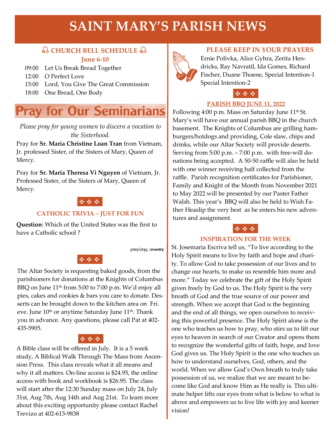# **SAINT MARY'S PARISH NEWS**

# **CHURCH BELL SCHEDULE June 6-10**

09:00 Let Us Break Bread Together

- 12:00 O Perfect Love
- 15:00 Lord, You Give The Great Commission
- 18:00 One Bread, One Body

# **Pray for Our Seminarians**

*Please pray for young women to discern a vocation to the Sisterhood.*

Pray for **Sr. Maria Christine Loan Tran** from Vietnam, Jr. professed Sister, of the Sisters of Mary, Queen of Mercy.

Pray for **Sr. Maria Theresa Vi Nguyen** of Vietnam, Jr. Professed Sister, of the Sisters of Mary, Queen of Mercy.

# ❖ ❖ ❖

#### **CATHOLIC TRIVIA – JUST FOR FUN**

**Question**: Which of the United States was the first to have a Catholic school ?

Апулят: Магуіапф

# ❖ ❖ ❖

The Altar Society is requesting baked goods, from the parishioners for donations at the Knights of Columbus BBQ on June 11<sup>th</sup> from 5:00 to 7:00 p.m. We'd enjoy all pies, cakes and cookies & bars you care to donate. Desserts can be brought down to the kitchen area on Fri. eve. June 10<sup>th</sup> or anytime Saturday June 11<sup>th</sup>. Thank you in advance. Any questions, please call Pat at 402- 435-5905.

# ❖ ❖ ❖

A Bible class will be offered in July. It is a 5 week study, A Biblical Walk Through The Mass from Ascension Press. This class reveals what it all means and why it all matters. On-line access is \$24.95, the online access with book and workbook is \$26.95. The class will start after the 12:30 Sunday mass on July 24, July 31st, Aug 7th, Aug 14th and Aug 21st. To learn more about this exciting opportunity please contact Rachel Trevizo at 402-613-9838



#### **PLEASE KEEP IN YOUR PRAYERS**

Ernie Polivka, Alice Gyhra, Zerita Hendricks, Ray Navratil, Ida Gomes, Richard Fischer, Duane Thoene, Special Intention-1 Special Intention-2

# ❖ ❖ ❖

#### **PARISH BBQ JUNE 11, 2022**

Following 4:00 p.m. Mass on Saturday June  $11<sup>th</sup>$  St. Mary's will have our annual parish BBQ in the church basement. The Knights of Columbus are grilling hamburgers/hotdogs and providing, Cole slaw, chips and drinks, while our Altar Society will provide deserts. Serving from 5:00 p.m. – 7:00 p.m. with free-will donations being accepted. A 50-50 raffle will also be held with one winner receiving half collected from the raffle. Parish recognition certificates for Parishioner, Family and Knight of the Month from November 2021 to May 2022 will be presented by our Paster Father Walsh. This year's BBQ will also be held to Wish Father Heaslip the very best as he enters his new adventures and assignment.

### ❖ ❖ ❖

#### **INSPIRATION FOR THE WEEK**

St. Josemaria Escriva tell us, "To live according to the Holy Spirit means to live by faith and hope and charity. To allow God to take possession of our lives and to change our hearts, to make us resemble him more and more." Today we celebrate the gift of the Holy Spirit given freely by God to us. The Holy Spirit is the very breath of God and the true source of our power and strength. When we accept that God is the beginning and the end of all things, we open ourselves to receiving this powerful presence. The Holy Spirit alone is the one who teaches us how to pray, who stirs us to lift our eyes to heaven in search of our Creator and opens them to recognize the wonderful gifts of faith, hope, and love God gives us. The Holy Spirit is the one who teaches us how to understand ourselves, God, others, and the world. When we allow God's Own breath to truly take possession of us, we realize that we are meant to become like God and know Him as He really is. This ultimate helper lifts our eyes from what is below to what is above and empowers us to live life with joy and keener vision!